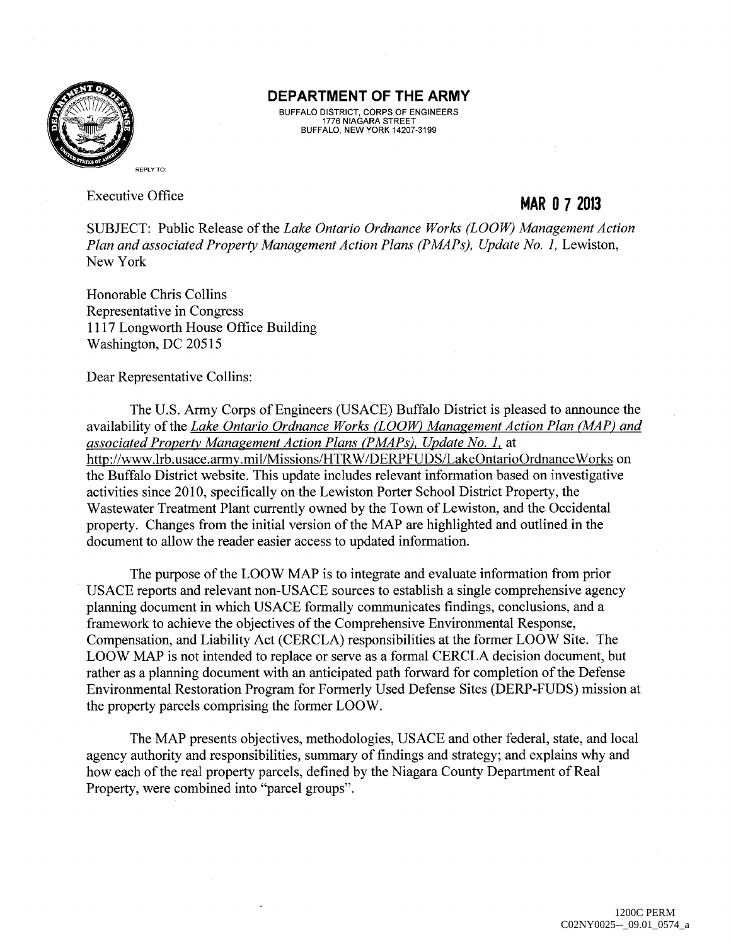

#### **DEPARTMENT OF THE ARMY**

BUFFALO DISTRICT, CORPS OF ENGINEERS 1776 NIAGARA STREET BUFFALO, NEW YORK 14207-3199

Executive Office

# **MAR 0 7 2013**

SUBJECT: Public Release of the *Lake Ontario Ordnance Works (LOOW) Management Action Plan and associated Property Management Action Plans (PMAPs), Update No. 1, Lewiston,* New York

Honorable Chris Collins Representative in Congress 1117 Longworth House Office Building Washington, DC 20515

Dear Representative Collins:

The U.S. Army Corps of Engineers (USACE) Buffalo District is pleased to announce the availability of the *Lake Ontario Ordnance Works (LOOW) Management Action Plan (MAP) and associated Property Management Action Plans (PMAPs), Update No. I.* at http://www.lrb.usace.army.mil/Missions/HTRW/DERPFUDS/LakeOntarioOrdnanceWorks on the Buffalo District website. This update includes relevant information based on investigative activities since 2010, specifically on the Lewiston Porter School District Property, the Wastewater Treatment Plant currently owned by the Town of Lewiston, and the Occidental property. Changes from the initial version of the MAP are highlighted and outlined in the document to allow the reader easier access to updated information.

The purpose of the LOOW MAP is to integrate and evaluate information from prior USACE reports and relevant non-USACE sources to establish a single comprehensive agency planning document in which USACE formally communicates findings, conclusions, and a framework to achieve the objectives of the Comprehensive Environmental Response, Compensation, and Liability Act (CERCLA) responsibilities at the former LOOW Site. The LOOW MAP is not intended to replace or serve as a formal CERCLA decision document, but rather as a planning document with an anticipated path forward for completion of the Defense Environmental Restoration Program for Formerly Used Defense Sites (DERP-FUDS) mission at the property parcels comprising the former LOOW.

The MAP presents objectives, methodologies, USACE and other federal, state, and local agency authority and responsibilities, summary of findings and strategy; and explains why and how each of the real property parcels, defined by the Niagara County Department of Real Property, were combined into "parcel groups".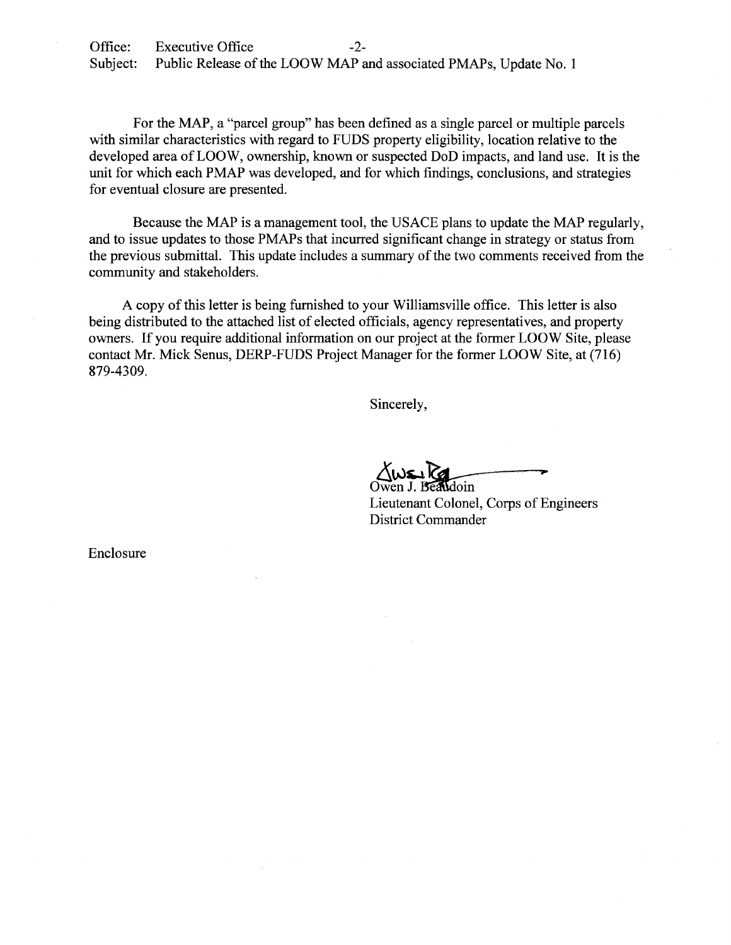Office: Executive Office -2-Subject: Public Release of the LOOW MAP and associated PMAPs, Update No. 1

For the MAP, a "parcel group" has been defined as a single parcel or multiple parcels with similar characteristics with regard to FUDS property eligibility, location relative to the developed area of LOOW, ownership, known or suspected DoD impacts, and land use. It is the unit for which each PMAP was developed, and for which findings, conclusions, and strategies for eventual closure are presented.

Because the MAP is a management tool, the USACE plans to update the MAP regularly, and to issue updates to those PMAPs that incurred significant change in strategy or status from the previous submittal. This update includes a summary of the two comments received from the community and stakeholders.

A copy of this letter is being furnished to your Williamsville office. This letter is also being distributed to the attached list of elected officials, agency representatives, and property owners. If you require additional information on our project at the former LOOW Site, please contact Mr. Mick Senus, DERP-FUDS Project Manager for the former LOOW Site, at (716) 879-4309.

Sincerely,

 $\Delta w$  $\sim$   $\sim$   $\sim$ 

Lieutenant Colonel, Corps of Engineers District Commander

Enclosure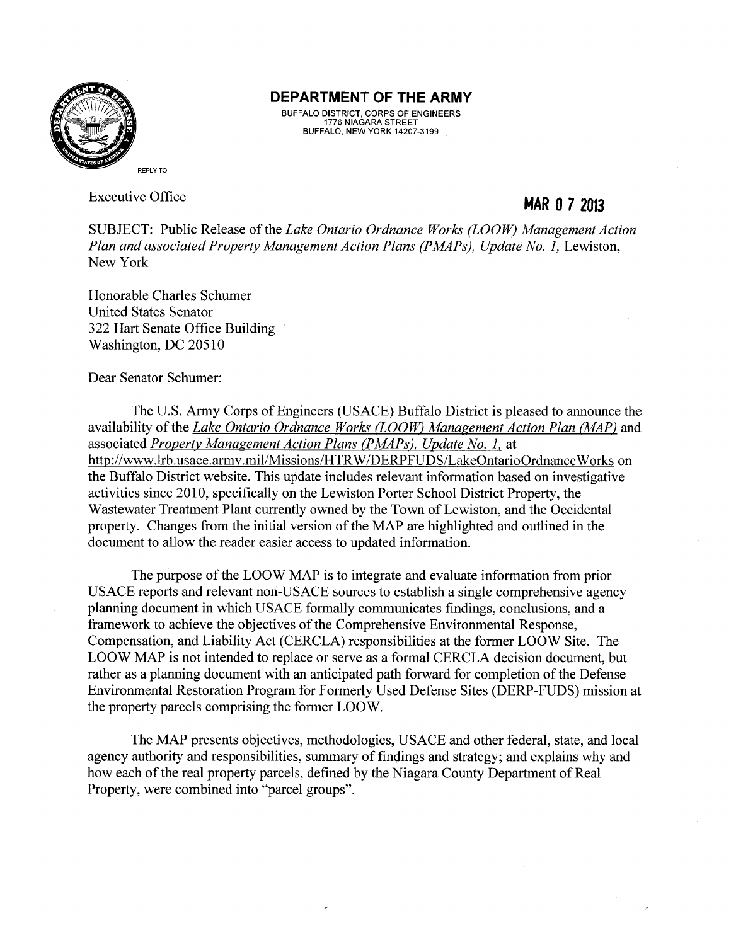

#### **DEPARTMENT OF THE ARMY**

BUFFALO DISTRICT, CORPS OF ENGINEERS 1776 NIAGARA STREET BUFFALO, NEW YORK 14207-3199

Executive Office

**MAR 0 7 2013** 

SUBJECT: Public Release of the *Lake Ontario Ordnance Works (LOOW) Management Action*  Plan and associated Property Management Action Plans (PMAPs), Update No. 1, Lewiston, New York

Honorable Charles Schumer United States Senator 322 Hart Senate Office Building Washington, DC 20510

Dear Senator Schumer:

The U.S. Army Corps of Engineers (USACE) Buffalo District is pleased to announce the availability of the *Lake Ontario Ordnance Works (LOOW) Management Action Plan (MAP)* and associated *Property Management Action Plans (PMAPs), Update No. 1.* at http://www.lrb.usace.army.mil/Missions/HTRW/DERPFUDS/LakeOntarioOrdnanceWorks on the Buffalo District website. This update includes relevant information based on investigative activities since 2010, specifically on the Lewiston Porter School District Property, the Wastewater Treatment Plant currently owned by the Town of Lewiston, and the Occidental property. Changes from the initial version of the MAP are highlighted and outlined in the document to allow the reader easier access to updated information.

The purpose of the LOOW MAP is to integrate and evaluate information from prior USACE reports and relevant non-USACE sources to establish a single comprehensive agency planning document in which USACE formally communicates findings, conclusions, and a framework to achieve the objectives of the Comprehensive Environmental Response, Compensation, and Liability Act (CERCLA) responsibilities at the former LOOW Site. The LOOW MAP is not intended to replace or serve as a formal CERCLA decision document, but rather as a planning document with an anticipated path forward for completion of the Defense Environmental Restoration Program for Formerly Used Defense Sites (DERP-FUDS) mission at the property parcels comprising the former LOOW.

The MAP presents objectives, methodologies, USACE and other federal, state, and local agency authority and responsibilities, summary of findings and strategy; and explains why and how each of the real property parcels, defined by the Niagara County Department of Real Property, were combined into "parcel groups".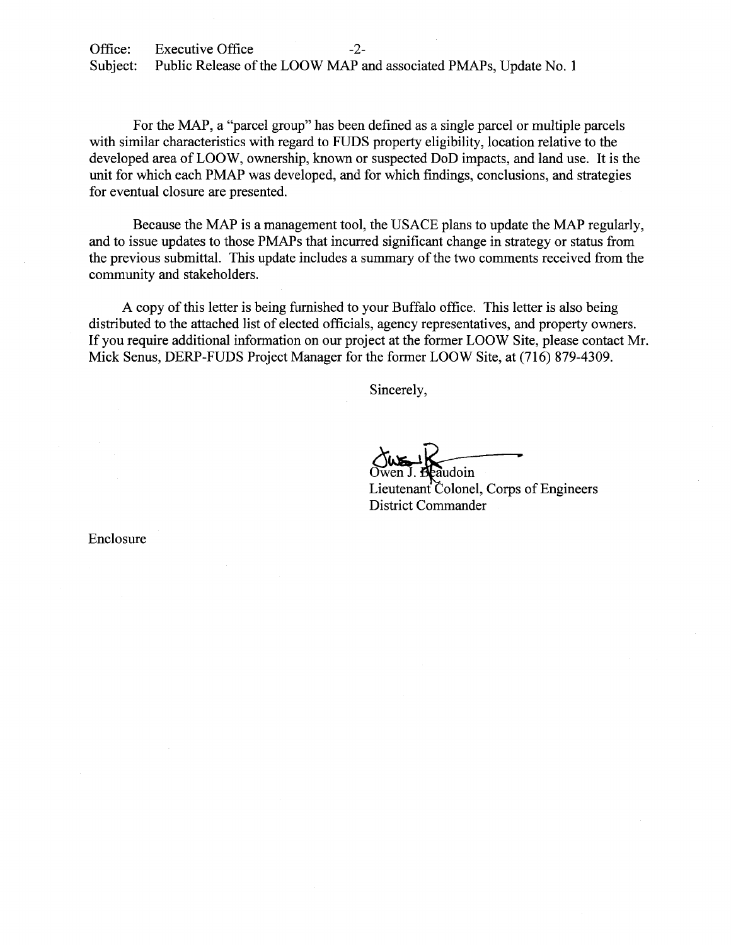Office: Executive Office -2-Subject: Public Release of the LOOW MAP and associated PMAPs, Update No. 1

For the MAP, a "parcel group" has been defined as a single parcel or multiple parcels with similar characteristics with regard to FUDS property eligibility, location relative to the developed area of LOOW, ownership, known or suspected DoD impacts, and land use. It is the unit for which each PMAP was developed, and for which findings, conclusions, and strategies for eventual closure are presented.

Because the MAP is a management tool, the USACE plans to update the MAP regularly, and to issue updates to those PMAPs that incurred significant change in strategy or status from the previous submittal. This update includes a summary of the two comments received from the community and stakeholders.

A copy of this letter is being furnished to your Buffalo office. This letter is also being distributed to the attached list of elected officials, agency representatives, and property owners. If you require additional information on our project at the former LOOW Site, please contact Mr. Mick Senus, DERP-FUDS Project Manager for the former LOOW Site, at (716) 879-4309.

Sincerely,

audoin

Lieutenant Colonel, Corps of Engineers District Commander

Enclosure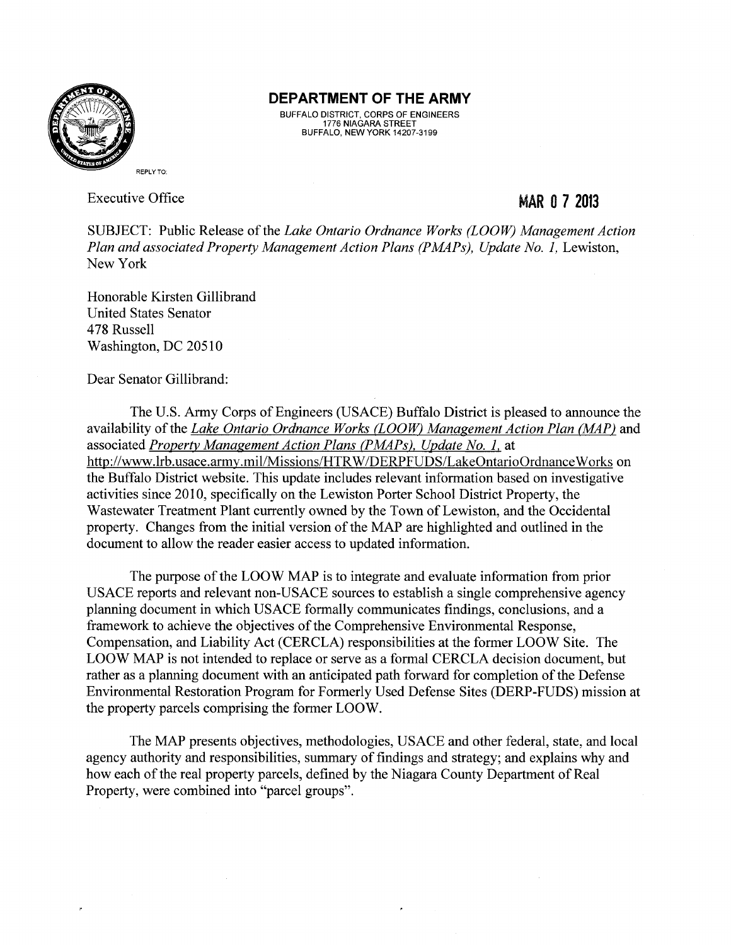

### **DEPARTMENT OF THE ARMY**

BUFFALO DISTRICT, CORPS OF ENGINEERS 1776 NIAGARA STREET BUFFALO, NEW YORK 14207-3199

Executive Office

## MAR 0 **7 2013**

SUBJECT: Public Release of the *Lake Ontario Ordnance Works (LOOW) Management Action*  Plan and associated Property Management Action Plans (PMAPs), Update No. 1, Lewiston, New York

Honorable Kirsten Gillibrand United States Senator 478 Russell Washington, DC 20510

Dear Senator Gillibrand:

The U.S. Army Corps of Engineers (USACE) Buffalo District is pleased to announce the availability of the *Lake Ontario Ordnance Works (LOOW) Management Action Plan (MAP)* and associated *Property Management Action Plans (PMAPs). Update No. 1.* at http://www.lrb.usace.army.mil/Missions/HTRW/DERPFUDS/LakeOntarioOrdnanceWorks on the Buffalo District website. This update includes relevant information based on investigative activities since 2010, specifically on the Lewiston Porter School District Property, the Wastewater Treatment Plant currently owned by the Town of Lewiston, and the Occidental property. Changes from the initial version of the MAP are highlighted and outlined in the document to allow the reader easier access to updated information.

The purpose of the LOOW MAP is to integrate and evaluate information from prior USACE reports and relevant non-USACE sources to establish a single comprehensive agency planning document in which USACE formally communicates findings, conclusions, and a framework to achieve the objectives of the Comprehensive Environmental Response, Compensation, and Liability Act (CERCLA) responsibilities at the former LOOW Site. The LOOW MAP is not intended to replace or serve as a formal CERCLA decision document, but rather as a planning document with an anticipated path forward for completion of the Defense Environmental Restoration Program for Formerly Used Defense Sites (DERP-FUDS) mission at the property parcels comprising the former LOOW.

The MAP presents objectives, methodologies, USACE and other federal, state, and local agency authority and responsibilities, summary of findings and strategy; and explains why and how each of the real property parcels, defined by the Niagara County Department of Real Property, were combined into "parcel groups".